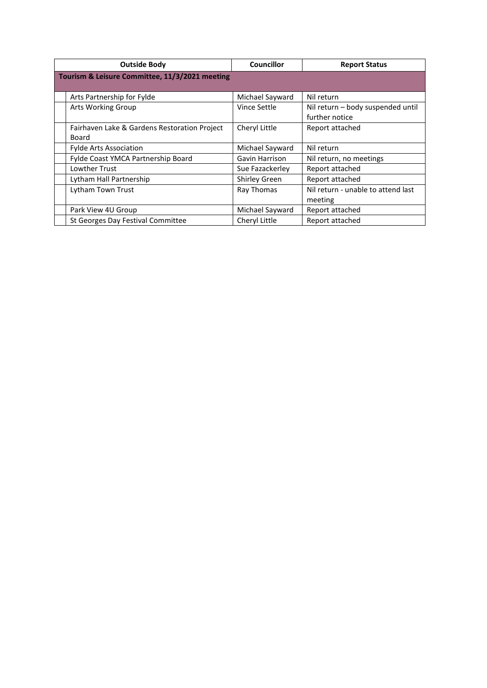| <b>Outside Body</b>                            |                                              | Councillor           | <b>Report Status</b>               |  |  |  |  |  |
|------------------------------------------------|----------------------------------------------|----------------------|------------------------------------|--|--|--|--|--|
| Tourism & Leisure Committee, 11/3/2021 meeting |                                              |                      |                                    |  |  |  |  |  |
|                                                |                                              |                      |                                    |  |  |  |  |  |
|                                                | Arts Partnership for Fylde                   | Michael Sayward      | Nil return                         |  |  |  |  |  |
|                                                | Arts Working Group                           | Vince Settle         | Nil return - body suspended until  |  |  |  |  |  |
|                                                |                                              |                      | further notice                     |  |  |  |  |  |
|                                                | Fairhaven Lake & Gardens Restoration Project | Cheryl Little        | Report attached                    |  |  |  |  |  |
|                                                | Board                                        |                      |                                    |  |  |  |  |  |
|                                                | <b>Fylde Arts Association</b>                | Michael Sayward      | Nil return                         |  |  |  |  |  |
|                                                | Fylde Coast YMCA Partnership Board           | Gavin Harrison       | Nil return, no meetings            |  |  |  |  |  |
|                                                | Lowther Trust                                | Sue Fazackerley      | Report attached                    |  |  |  |  |  |
|                                                | Lytham Hall Partnership                      | <b>Shirley Green</b> | Report attached                    |  |  |  |  |  |
|                                                | Lytham Town Trust                            | Ray Thomas           | Nil return - unable to attend last |  |  |  |  |  |
|                                                |                                              |                      | meeting                            |  |  |  |  |  |
|                                                | Park View 4U Group                           | Michael Sayward      | Report attached                    |  |  |  |  |  |
|                                                | St Georges Day Festival Committee            | Cheryl Little        | Report attached                    |  |  |  |  |  |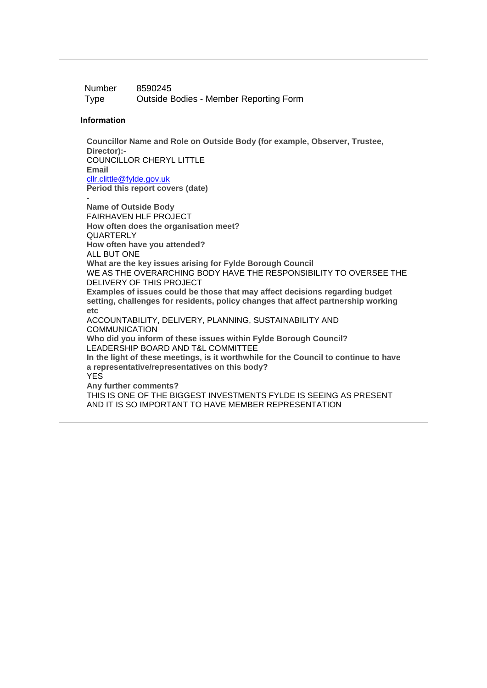Number 8590245 Type Outside Bodies - Member Reporting Form

#### **Information**

**Councillor Name and Role on Outside Body (for example, Observer, Trustee, Director):-** COUNCILLOR CHERYL LITTLE **Email** [cllr.clittle@fylde.gov.uk](mailto:cllr.clittle@fylde.gov.uk) **Period this report covers (date)**

- **Name of Outside Body** FAIRHAVEN HLF PROJECT **How often does the organisation meet? QUARTERLY How often have you attended?** ALL BUT ONE **What are the key issues arising for Fylde Borough Council** WE AS THE OVERARCHING BODY HAVE THE RESPONSIBILITY TO OVERSEE THE DELIVERY OF THIS PROJECT **Examples of issues could be those that may affect decisions regarding budget setting, challenges for residents, policy changes that affect partnership working etc** ACCOUNTABILITY, DELIVERY, PLANNING, SUSTAINABILITY AND **COMMUNICATION Who did you inform of these issues within Fylde Borough Council?** LEADERSHIP BOARD AND T&L COMMITTEE **In the light of these meetings, is it worthwhile for the Council to continue to have a representative/representatives on this body?** YES **Any further comments?** THIS IS ONE OF THE BIGGEST INVESTMENTS FYLDE IS SEEING AS PRESENT AND IT IS SO IMPORTANT TO HAVE MEMBER REPRESENTATION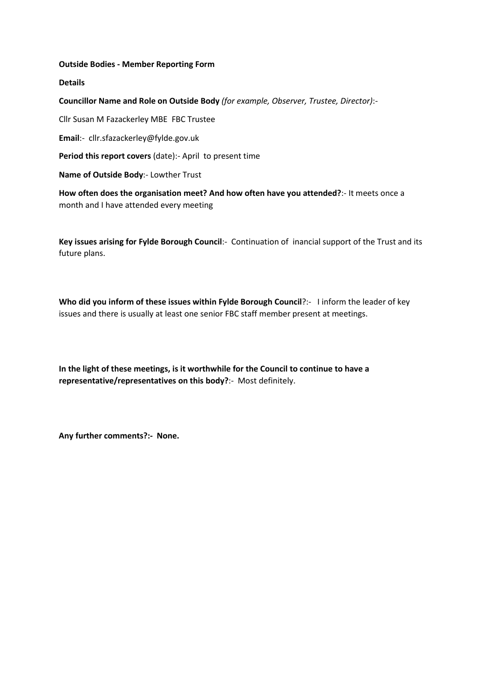### **Outside Bodies - Member Reporting Form**

**Details**

**Councillor Name and Role on Outside Body** *(for example, Observer, Trustee, Director)*:-

Cllr Susan M Fazackerley MBE FBC Trustee

**Email**:- cllr.sfazackerley@fylde.gov.uk

**Period this report covers** (date):- April to present time

**Name of Outside Body**:- Lowther Trust

**How often does the organisation meet? And how often have you attended?**:- It meets once a month and I have attended every meeting

**Key issues arising for Fylde Borough Council**:- Continuation of inancial support of the Trust and its future plans.

**Who did you inform of these issues within Fylde Borough Council**?:- I inform the leader of key issues and there is usually at least one senior FBC staff member present at meetings.

**In the light of these meetings, is it worthwhile for the Council to continue to have a representative/representatives on this body?**:- Most definitely.

**Any further comments?:- None.**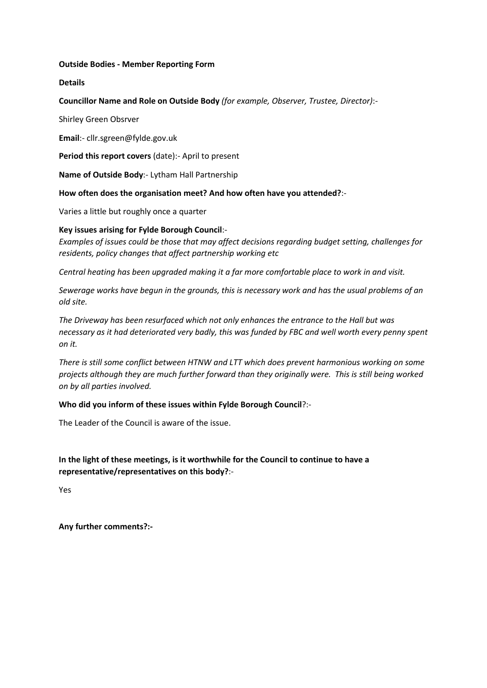### **Outside Bodies - Member Reporting Form**

## **Details**

**Councillor Name and Role on Outside Body** *(for example, Observer, Trustee, Director)*:-

Shirley Green Obsrver

**Email**:- cllr.sgreen@fylde.gov.uk

**Period this report covers** (date):- April to present

**Name of Outside Body**:- Lytham Hall Partnership

**How often does the organisation meet? And how often have you attended?**:-

Varies a little but roughly once a quarter

# **Key issues arising for Fylde Borough Council**:-

*Examples of issues could be those that may affect decisions regarding budget setting, challenges for residents, policy changes that affect partnership working etc* 

*Central heating has been upgraded making it a far more comfortable place to work in and visit.*

*Sewerage works have begun in the grounds, this is necessary work and has the usual problems of an old site.*

*The Driveway has been resurfaced which not only enhances the entrance to the Hall but was necessary as it had deteriorated very badly, this was funded by FBC and well worth every penny spent on it.*

*There is still some conflict between HTNW and LTT which does prevent harmonious working on some projects although they are much further forward than they originally were. This is still being worked on by all parties involved.*

### **Who did you inform of these issues within Fylde Borough Council**?:-

The Leader of the Council is aware of the issue.

# **In the light of these meetings, is it worthwhile for the Council to continue to have a representative/representatives on this body?**:-

Yes

**Any further comments?:-**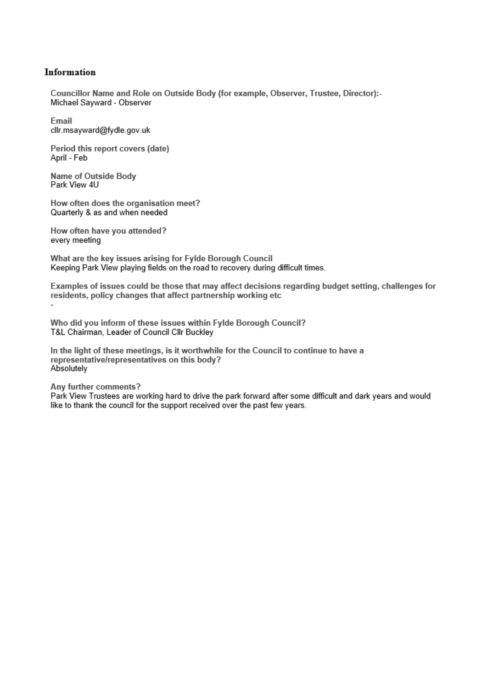### Information

Councillor Name and Role on Outside Body (for example, Observer, Trustee, Director):-Michael Sayward - Observer

Email cllr.msayward@fydle.gov.uk

Period this report covers (date) April - Feb

Name of Outside Body Park View 4U

How often does the organisation meet? Quarterly & as and when needed

How often have you attended? every meeting

What are the key issues arising for Fylde Borough Council Keeping Park View playing fields on the road to recovery during difficult times.

Examples of issues could be those that may affect decisions regarding budget setting, challenges for residents, policy changes that affect partnership working etc

Who did you inform of these issues within Fylde Borough Council? T&L Chairman, Leader of Council Cllr Buckley

In the light of these meetings, is it worthwhile for the Council to continue to have a representative/representatives on this body? Absolutely

#### Any further comments?

Park View Trustees are working hard to drive the park forward after some difficult and dark years and would like to thank the council for the support received over the past few years.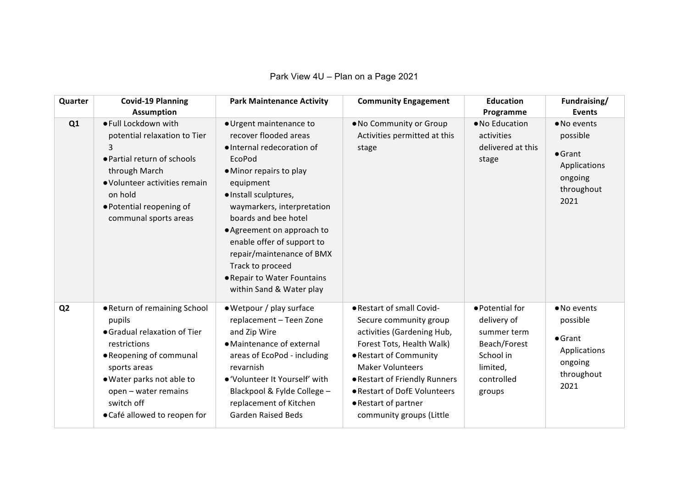Park View 4U – Plan on a Page 2021

| Quarter        | <b>Covid-19 Planning</b><br><b>Assumption</b>                                                                                                                                                                                        | <b>Park Maintenance Activity</b>                                                                                                                                                                                                                                                                                                                                                        | <b>Community Engagement</b>                                                                                                                                                                                                                                                              | <b>Education</b><br>Programme                                                                                  | Fundraising/<br><b>Events</b>                                                               |
|----------------|--------------------------------------------------------------------------------------------------------------------------------------------------------------------------------------------------------------------------------------|-----------------------------------------------------------------------------------------------------------------------------------------------------------------------------------------------------------------------------------------------------------------------------------------------------------------------------------------------------------------------------------------|------------------------------------------------------------------------------------------------------------------------------------------------------------------------------------------------------------------------------------------------------------------------------------------|----------------------------------------------------------------------------------------------------------------|---------------------------------------------------------------------------------------------|
| Q1             | ● Full Lockdown with<br>potential relaxation to Tier<br>3<br>• Partial return of schools<br>through March<br>• Volunteer activities remain<br>on hold<br>• Potential reopening of<br>communal sports areas                           | · Urgent maintenance to<br>recover flooded areas<br>· Internal redecoration of<br>EcoPod<br>• Minor repairs to play<br>equipment<br>· Install sculptures,<br>waymarkers, interpretation<br>boards and bee hotel<br>• Agreement on approach to<br>enable offer of support to<br>repair/maintenance of BMX<br>Track to proceed<br>. Repair to Water Fountains<br>within Sand & Water play | . No Community or Group<br>Activities permitted at this<br>stage                                                                                                                                                                                                                         | • No Education<br>activities<br>delivered at this<br>stage                                                     | • No events<br>possible<br>$\bullet$ Grant<br>Applications<br>ongoing<br>throughout<br>2021 |
| Q <sub>2</sub> | . Return of remaining School<br>pupils<br>• Gradual relaxation of Tier<br>restrictions<br>• Reopening of communal<br>sports areas<br>. Water parks not able to<br>open - water remains<br>switch off<br>• Café allowed to reopen for | · Wetpour / play surface<br>replacement - Teen Zone<br>and Zip Wire<br>• Maintenance of external<br>areas of EcoPod - including<br>revarnish<br>• 'Volunteer It Yourself' with<br>Blackpool & Fylde College -<br>replacement of Kitchen<br><b>Garden Raised Beds</b>                                                                                                                    | . Restart of small Covid-<br>Secure community group<br>activities (Gardening Hub,<br>Forest Tots, Health Walk)<br>• Restart of Community<br><b>Maker Volunteers</b><br>● Restart of Friendly Runners<br>• Restart of DofE Volunteers<br>● Restart of partner<br>community groups (Little | ● Potential for<br>delivery of<br>summer term<br>Beach/Forest<br>School in<br>limited,<br>controlled<br>groups | • No events<br>possible<br>$\bullet$ Grant<br>Applications<br>ongoing<br>throughout<br>2021 |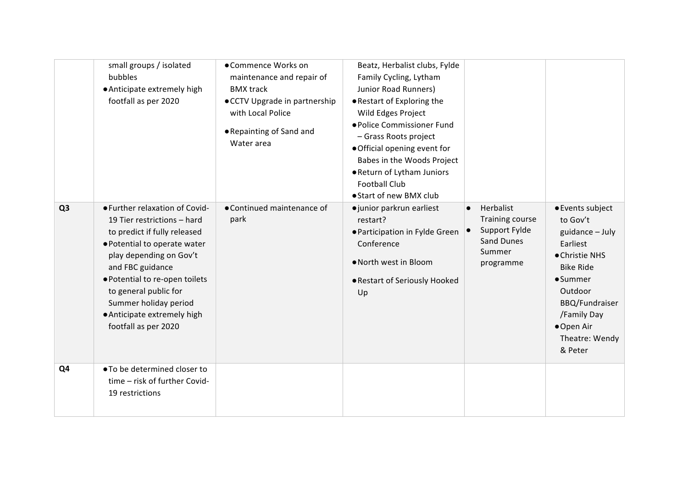|                | small groups / isolated<br>bubbles<br>• Anticipate extremely high<br>footfall as per 2020                                                                                                                                                                                                                               | •Commence Works on<br>maintenance and repair of<br><b>BMX</b> track<br>• CCTV Upgrade in partnership<br>with Local Police<br>• Repainting of Sand and<br>Water area | Beatz, Herbalist clubs, Fylde<br>Family Cycling, Lytham<br>Junior Road Runners)<br>• Restart of Exploring the<br>Wild Edges Project<br>● Police Commissioner Fund<br>- Grass Roots project<br>. Official opening event for<br>Babes in the Woods Project<br>. Return of Lytham Juniors<br><b>Football Club</b><br>● Start of new BMX club |                                                                                                        |                                                                                                                                                                                                               |
|----------------|-------------------------------------------------------------------------------------------------------------------------------------------------------------------------------------------------------------------------------------------------------------------------------------------------------------------------|---------------------------------------------------------------------------------------------------------------------------------------------------------------------|-------------------------------------------------------------------------------------------------------------------------------------------------------------------------------------------------------------------------------------------------------------------------------------------------------------------------------------------|--------------------------------------------------------------------------------------------------------|---------------------------------------------------------------------------------------------------------------------------------------------------------------------------------------------------------------|
| Q <sub>3</sub> | • Further relaxation of Covid-<br>19 Tier restrictions - hard<br>to predict if fully released<br>· Potential to operate water<br>play depending on Gov't<br>and FBC guidance<br>· Potential to re-open toilets<br>to general public for<br>Summer holiday period<br>• Anticipate extremely high<br>footfall as per 2020 | • Continued maintenance of<br>park                                                                                                                                  | ·junior parkrun earliest<br>restart?<br>● Participation in Fylde Green<br>Conference<br>• North west in Bloom<br>● Restart of Seriously Hooked<br>Up                                                                                                                                                                                      | Herbalist<br>Training course<br>Support Fylde<br>$\bullet$<br><b>Sand Dunes</b><br>Summer<br>programme | ● Events subject<br>to Gov't<br>guidance - July<br>Earliest<br>• Christie NHS<br><b>Bike Ride</b><br>$•$ Summer<br>Outdoor<br><b>BBQ/Fundraiser</b><br>/Family Day<br>● Open Air<br>Theatre: Wendy<br>& Peter |
| Q4             | ● To be determined closer to<br>time - risk of further Covid-<br>19 restrictions                                                                                                                                                                                                                                        |                                                                                                                                                                     |                                                                                                                                                                                                                                                                                                                                           |                                                                                                        |                                                                                                                                                                                                               |